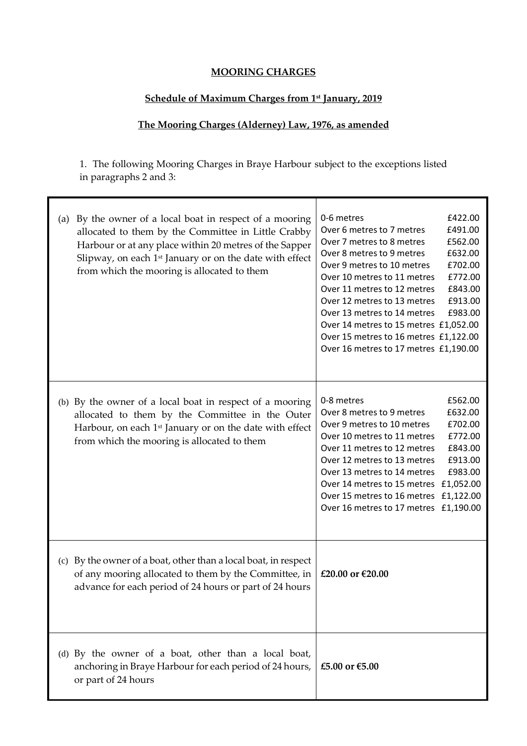## **MOORING CHARGES**

## **Schedule of Maximum Charges from 1st January, 2019**

## **The Mooring Charges (Alderney) Law, 1976, as amended**

1. The following Mooring Charges in Braye Harbour subject to the exceptions listed in paragraphs 2 and 3:

| (a) | By the owner of a local boat in respect of a mooring<br>allocated to them by the Committee in Little Crabby<br>Harbour or at any place within 20 metres of the Sapper<br>Slipway, on each 1 <sup>st</sup> January or on the date with effect<br>from which the mooring is allocated to them | 0-6 metres<br>£422.00<br>Over 6 metres to 7 metres<br>£491.00<br>Over 7 metres to 8 metres<br>£562.00<br>Over 8 metres to 9 metres<br>£632.00<br>Over 9 metres to 10 metres<br>£702.00<br>Over 10 metres to 11 metres<br>£772.00<br>£843.00<br>Over 11 metres to 12 metres<br>£913.00<br>Over 12 metres to 13 metres<br>£983.00<br>Over 13 metres to 14 metres<br>Over 14 metres to 15 metres £1,052.00<br>Over 15 metres to 16 metres £1,122.00<br>Over 16 metres to 17 metres £1,190.00 |
|-----|---------------------------------------------------------------------------------------------------------------------------------------------------------------------------------------------------------------------------------------------------------------------------------------------|-------------------------------------------------------------------------------------------------------------------------------------------------------------------------------------------------------------------------------------------------------------------------------------------------------------------------------------------------------------------------------------------------------------------------------------------------------------------------------------------|
|     | (b) By the owner of a local boat in respect of a mooring<br>allocated to them by the Committee in the Outer<br>Harbour, on each 1 <sup>st</sup> January or on the date with effect<br>from which the mooring is allocated to them                                                           | 0-8 metres<br>£562.00<br>Over 8 metres to 9 metres<br>£632.00<br>Over 9 metres to 10 metres<br>£702.00<br>Over 10 metres to 11 metres<br>£772.00<br>£843.00<br>Over 11 metres to 12 metres<br>£913.00<br>Over 12 metres to 13 metres<br>Over 13 metres to 14 metres<br>£983.00<br>Over 14 metres to 15 metres £1,052.00<br>Over 15 metres to 16 metres £1,122.00<br>Over 16 metres to 17 metres £1,190.00                                                                                 |
|     | (c) By the owner of a boat, other than a local boat, in respect<br>of any mooring allocated to them by the Committee, in<br>advance for each period of 24 hours or part of 24 hours                                                                                                         | £20.00 or €20.00                                                                                                                                                                                                                                                                                                                                                                                                                                                                          |
|     | (d) By the owner of a boat, other than a local boat,<br>anchoring in Braye Harbour for each period of 24 hours,<br>or part of 24 hours                                                                                                                                                      | £5.00 or €5.00                                                                                                                                                                                                                                                                                                                                                                                                                                                                            |